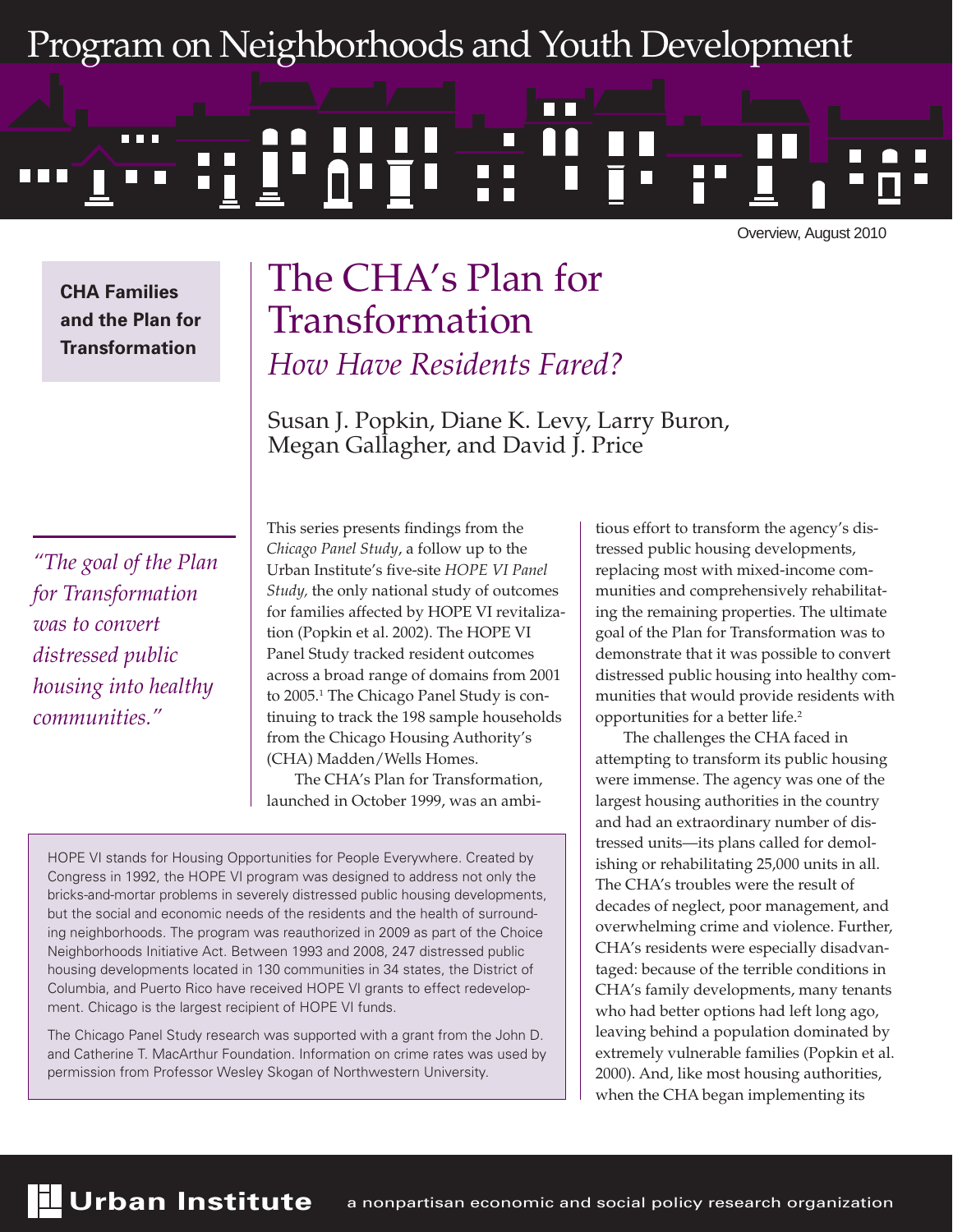# Program on Neighborhoods and Youth Development

# **. . .** H

Overview, August 2010

**CHA Families and the Plan for Transformation**

# The CHA's Plan for Transformation *How Have Residents Fared?*

Susan J. Popkin, Diane K. Levy, Larry Buron, Megan Gallagher, and David J. Price

*"The goal of the Plan for Transformation was to convert distressed public housing into healthy communities."*

This series presents findings from the *Chicago Panel Study*, a follow up to the Urban Institute's five-site *HOPE VI Panel Study,* the only national study of outcomes for families affected by HOPE VI revitalization (Popkin et al. 2002). The HOPE VI Panel Study tracked resident outcomes across a broad range of domains from 2001 to 2005.<sup>1</sup> The Chicago Panel Study is continuing to track the 198 sample households from the Chicago Housing Authority's (CHA) Madden/Wells Homes.

The CHA's Plan for Transformation, launched in October 1999, was an ambi-

HOPE VI stands for Housing Opportunities for People Everywhere. Created by Congress in 1992, the HOPE VI program was designed to address not only the bricks-and-mortar problems in severely distressed public housing developments, but the social and economic needs of the residents and the health of surrounding neighborhoods. The program was reauthorized in 2009 as part of the Choice Neighborhoods Initiative Act. Between 1993 and 2008, 247 distressed public housing developments located in 130 communities in 34 states, the District of Columbia, and Puerto Rico have received HOPE VI grants to effect redevelopment. Chicago is the largest recipient of HOPE VI funds.

The Chicago Panel Study research was supported with a grant from the John D. and Catherine T. MacArthur Foundation. Information on crime rates was used by permission from Professor Wesley Skogan of Northwestern University.

tious effort to transform the agency's distressed public housing developments, replacing most with mixed-income communities and comprehensively rehabilitating the remaining properties. The ultimate goal of the Plan for Transformation was to demonstrate that it was possible to convert distressed public housing into healthy communities that would provide residents with opportunities for a better life.2

The challenges the CHA faced in attempting to transform its public housing were immense. The agency was one of the largest housing authorities in the country and had an extraordinary number of distressed units—its plans called for demolishing or rehabilitating 25,000 units in all. The CHA's troubles were the result of decades of neglect, poor management, and overwhelming crime and violence. Further, CHA's residents were especially disadvantaged: because of the terrible conditions in CHA's family developments, many tenants who had better options had left long ago, leaving behind a population dominated by extremely vulnerable families (Popkin et al. 2000). And, like most housing authorities, when the CHA began implementing its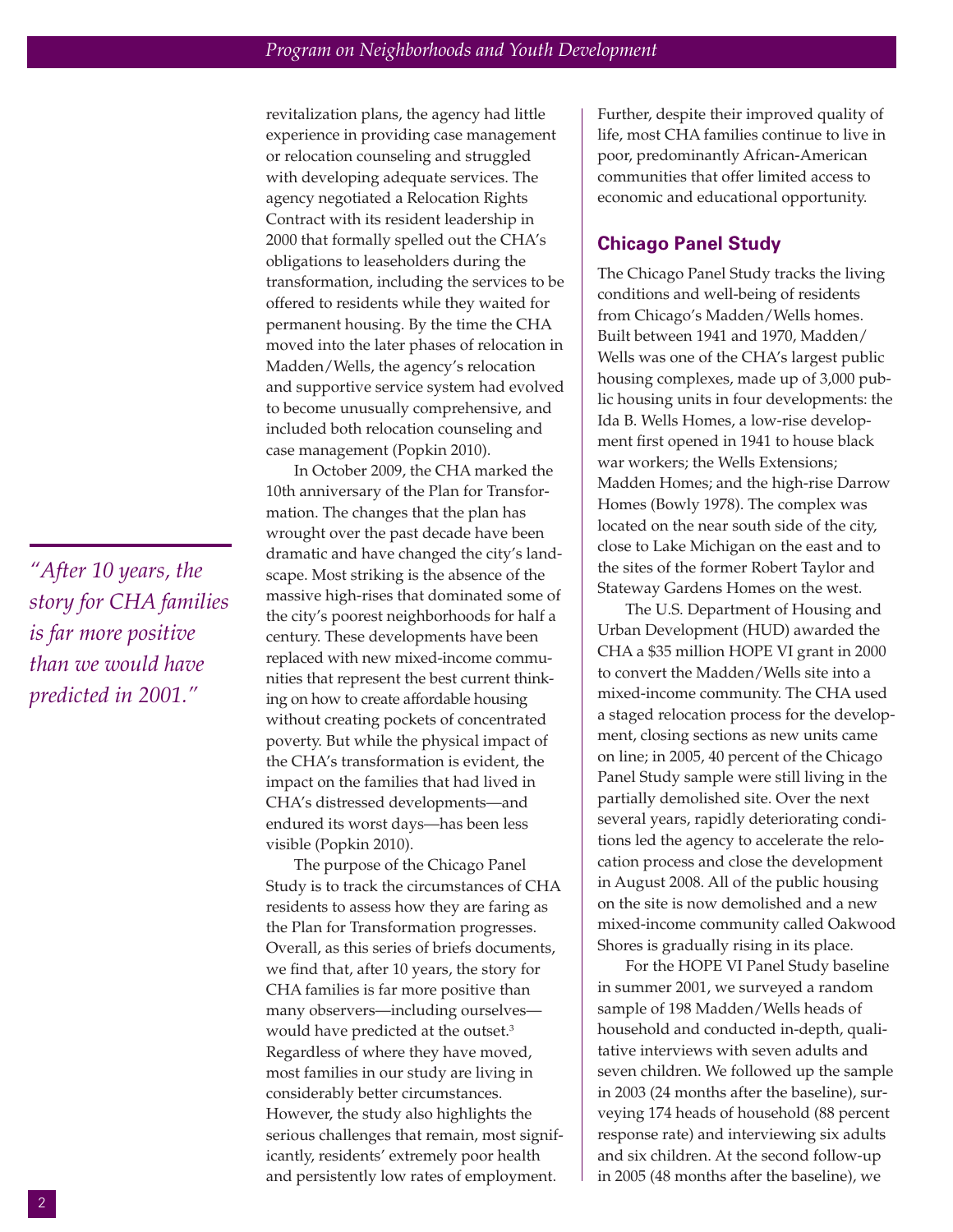*"After 10 years, the story for CHA families is far more positive than we would have predicted in 2001."*

revitalization plans, the agency had little experience in providing case management or relocation counseling and struggled with developing adequate services. The agency negotiated a Relocation Rights Contract with its resident leadership in 2000 that formally spelled out the CHA's obligations to leaseholders during the transformation, including the services to be offered to residents while they waited for permanent housing. By the time the CHA moved into the later phases of relocation in Madden/Wells, the agency's relocation and supportive service system had evolved to become unusually comprehensive, and included both relocation counseling and case management (Popkin 2010).

In October 2009, the CHA marked the 10th anniversary of the Plan for Transformation. The changes that the plan has wrought over the past decade have been dramatic and have changed the city's landscape. Most striking is the absence of the massive high-rises that dominated some of the city's poorest neighborhoods for half a century. These developments have been replaced with new mixed-income communities that represent the best current thinking on how to create affordable housing without creating pockets of concentrated poverty. But while the physical impact of the CHA's transformation is evident, the impact on the families that had lived in CHA's distressed developments—and endured its worst days—has been less visible (Popkin 2010).

The purpose of the Chicago Panel Study is to track the circumstances of CHA residents to assess how they are faring as the Plan for Transformation progresses. Overall, as this series of briefs documents, we find that, after 10 years, the story for CHA families is far more positive than many observers—including ourselves would have predicted at the outset.<sup>3</sup> Regardless of where they have moved, most families in our study are living in considerably better circumstances. However, the study also highlights the serious challenges that remain, most significantly, residents' extremely poor health and persistently low rates of employment.

Further, despite their improved quality of life, most CHA families continue to live in poor, predominantly African-American communities that offer limited access to economic and educational opportunity.

#### **Chicago Panel Study**

The Chicago Panel Study tracks the living conditions and well-being of residents from Chicago's Madden/Wells homes. Built between 1941 and 1970, Madden/ Wells was one of the CHA's largest public housing complexes, made up of 3,000 public housing units in four developments: the Ida B. Wells Homes, a low-rise development first opened in 1941 to house black war workers; the Wells Extensions; Madden Homes; and the high-rise Darrow Homes (Bowly 1978). The complex was located on the near south side of the city, close to Lake Michigan on the east and to the sites of the former Robert Taylor and Stateway Gardens Homes on the west.

The U.S. Department of Housing and Urban Development (HUD) awarded the CHA a \$35 million HOPE VI grant in 2000 to convert the Madden/Wells site into a mixed-income community. The CHA used a staged relocation process for the development, closing sections as new units came on line; in 2005, 40 percent of the Chicago Panel Study sample were still living in the partially demolished site. Over the next several years, rapidly deteriorating conditions led the agency to accelerate the relocation process and close the development in August 2008. All of the public housing on the site is now demolished and a new mixed-income community called Oakwood Shores is gradually rising in its place.

For the HOPE VI Panel Study baseline in summer 2001, we surveyed a random sample of 198 Madden/Wells heads of household and conducted in-depth, qualitative interviews with seven adults and seven children. We followed up the sample in 2003 (24 months after the baseline), surveying 174 heads of household (88 percent response rate) and interviewing six adults and six children. At the second follow-up in 2005 (48 months after the baseline), we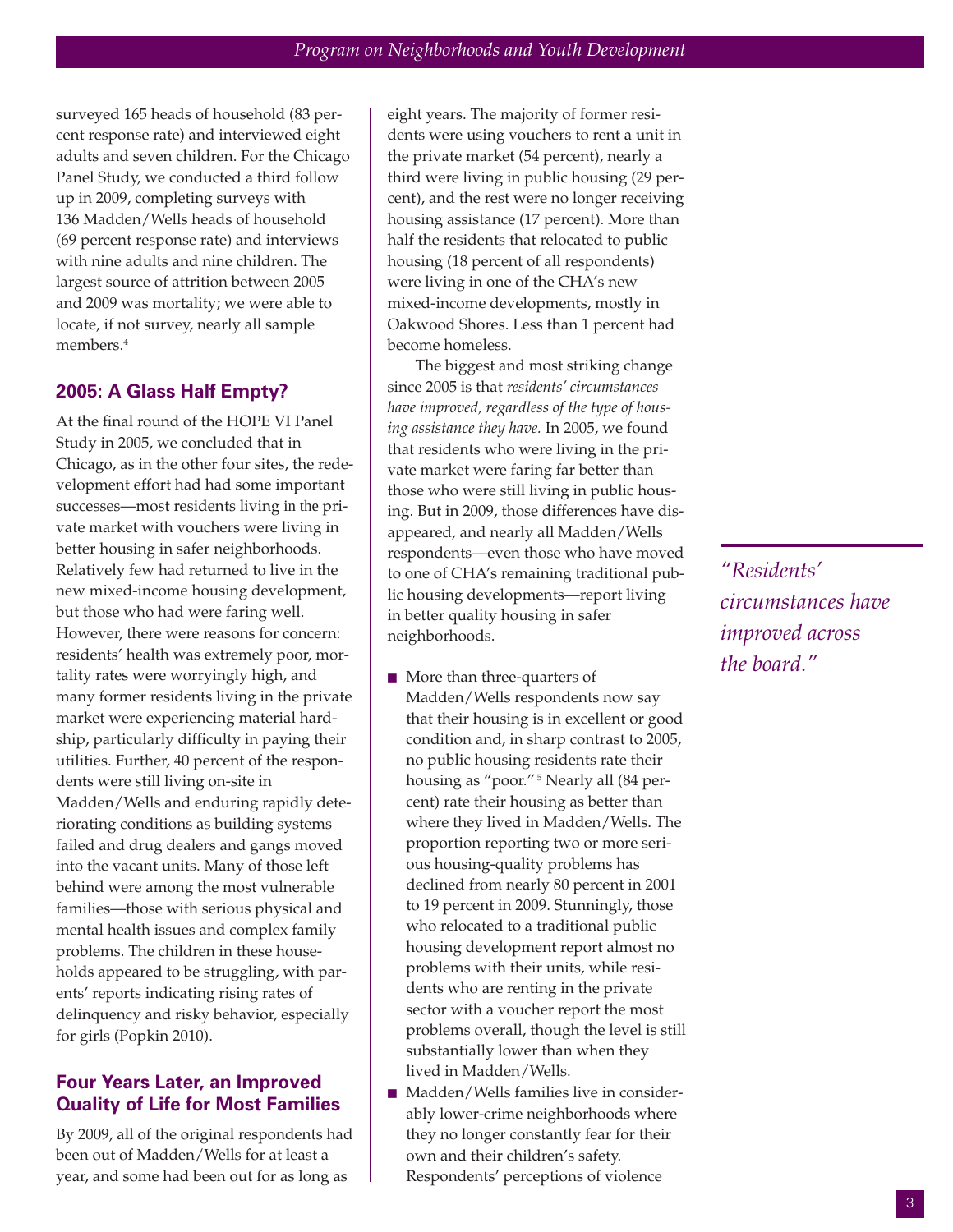surveyed 165 heads of household (83 percent response rate) and interviewed eight adults and seven children. For the Chicago Panel Study, we conducted a third follow up in 2009, completing surveys with 136 Madden/Wells heads of household (69 percent response rate) and interviews with nine adults and nine children. The largest source of attrition between 2005 and 2009 was mortality; we were able to locate, if not survey, nearly all sample members.4

#### **2005: A Glass Half Empty?**

At the final round of the HOPE VI Panel Study in 2005, we concluded that in Chicago, as in the other four sites, the redevelopment effort had had some important successes—most residents living in the private market with vouchers were living in better housing in safer neighborhoods. Relatively few had returned to live in the new mixed-income housing development, but those who had were faring well. However, there were reasons for concern: residents' health was extremely poor, mortality rates were worryingly high, and many former residents living in the private market were experiencing material hardship, particularly difficulty in paying their utilities. Further, 40 percent of the respondents were still living on-site in Madden/Wells and enduring rapidly deteriorating conditions as building systems failed and drug dealers and gangs moved into the vacant units. Many of those left behind were among the most vulnerable families—those with serious physical and mental health issues and complex family problems. The children in these households appeared to be struggling, with parents' reports indicating rising rates of delinquency and risky behavior, especially for girls (Popkin 2010).

## **Four Years Later, an Improved Quality of Life for Most Families**

By 2009, all of the original respondents had been out of Madden/Wells for at least a year, and some had been out for as long as

eight years. The majority of former residents were using vouchers to rent a unit in the private market (54 percent), nearly a third were living in public housing (29 percent), and the rest were no longer receiving housing assistance (17 percent). More than half the residents that relocated to public housing (18 percent of all respondents) were living in one of the CHA's new mixed-income developments, mostly in [Oakwood Shores.](http://www.urban.org/url.cfm?ID=412189) Less than 1 percent had become homeless.

The biggest and most striking change since 2005 is that *residents' circumstances have improved, regardless of the type of housing assistance they have.* In 2005, we found that residents who were living in the private market were faring far better than those who were still living in public housing. But in 2009, those differences have disappeared, and nearly all Madden/Wells respondents—even those who have moved to one of CHA's remaining traditional public housing developments—report living in better quality housing in safer neighborhoods.

- $\blacksquare$  More than three-quarters of Madden/Wells respondents now say that their housing is in excellent or good condition and, in sharp contrast to 2005, no public housing residents rate their housing as "poor."<sup>5</sup> Nearly all (84 percent) rate their housing as better than where they lived in Madden/Wells. The proportion reporting two or more serious housing-quality problems has declined from nearly 80 percent in 2001 to 19 percent in 2009. Stunningly, those who relocated to a traditional public housing development report almost no problems with their units, while residents who are renting in the private sector with a voucher report the most problems overall, though the level is still substantially lower than when they lived in [Madden/Wells](http://www.urban.org/url.cfm?ID=412188).
- Madden/Wells families live in considerably lower-crime neighborhoods where they no longer constantly fear for their own and their children's safety. Respondents' perceptions of violence

*"Residents' circumstances have improved across the board."*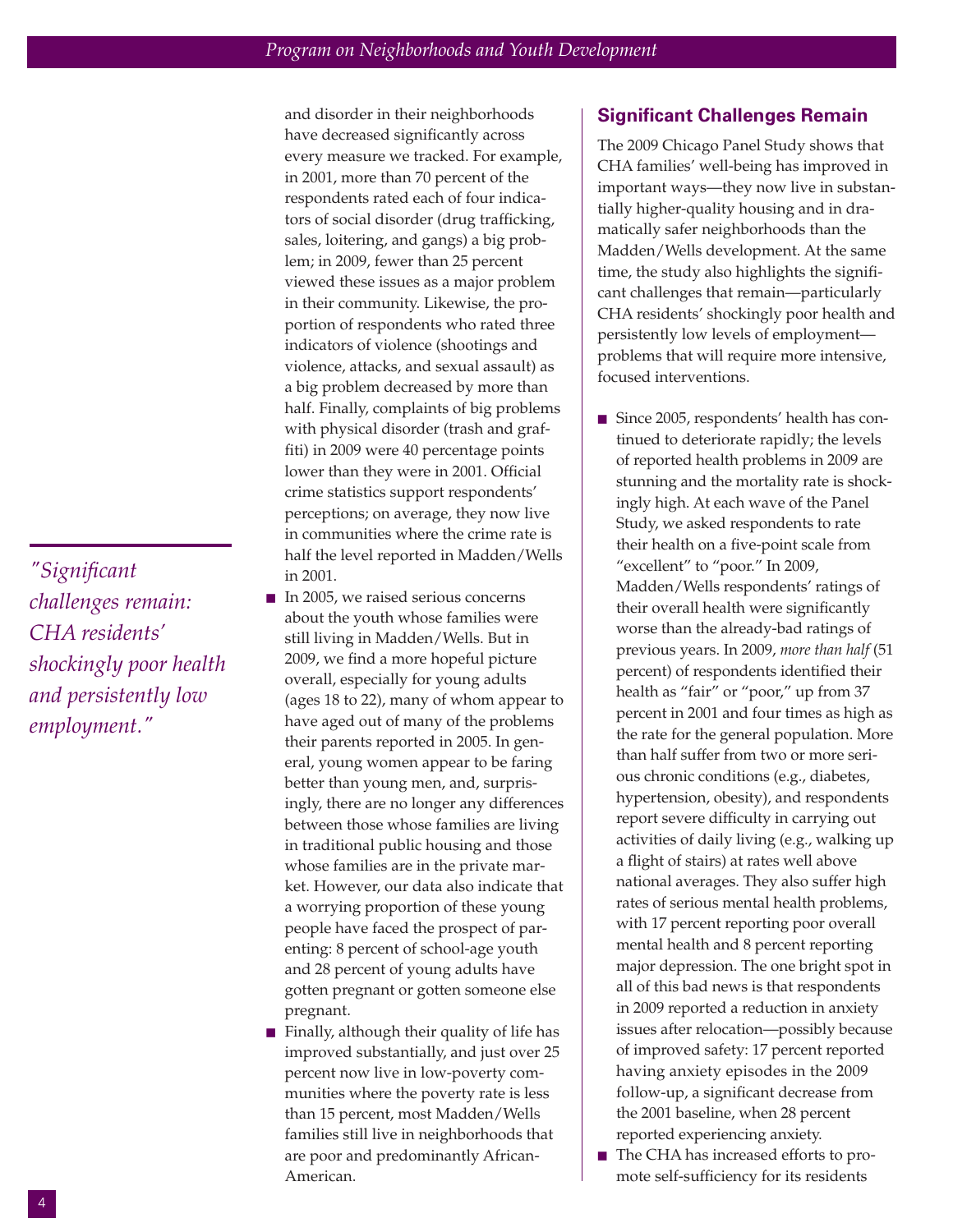*"Significant challenges remain: CHA residents' shockingly poor health and persistently low employment."*

and disorder in their neighborhoods have decreased significantly across every measure we tracked. For example, in 2001, more than 70 percent of the respondents rated each of four indicators of social disorder (drug trafficking, sales, loitering, and gangs) a big problem; in 2009, fewer than 25 percent viewed these issues as a major problem in their community. Likewise, the proportion of respondents who rated three indicators of violence (shootings and violence, attacks, and sexual assault) as a big problem decreased by more than half. Finally, complaints of big problems with physical disorder (trash and graffiti) in 2009 were 40 percentage points lower than they were in 2001. Official crime statistics support respondents' perceptions; on average, they now live in communities where the crime rate is [half the level reported in Madden/Wells](http://www.urban.org/url.cfm?ID=412187) in 2001.

- $\blacksquare$  In 2005, we raised serious concerns about the youth whose families were still living in Madden/Wells. But in 2009, we find a more hopeful picture overall, especially for young adults (ages 18 to 22), many of whom appear to have aged out of many of the problems their parents reported in 2005. In general, young women appear to be faring better than young men, and, surprisingly, there are no longer any differences between those whose families are living in traditional public housing and those whose families are in the private market. However, our data also indicate that a worrying proportion of these young people have faced the prospect of parenting: 8 percent of school-age youth and 28 percent of young adults have gotten pregnant or gotten someone else [pregnant.](http://www.urban.org/url.cfm?ID=412185)
- Finally, although their quality of life has improved substantially, and just over 25 percent now live in low-poverty communities where the poverty rate is less than 15 percent, most Madden/Wells [families still live in neighborhoods that](http://www.urban.org/url.cfm?ID=412189) are poor and predominantly African-American.

## **Significant Challenges Remain**

The 2009 Chicago Panel Study shows that CHA families' well-being has improved in important ways—they now live in substantially higher-quality housing and in dramatically safer neighborhoods than the Madden/Wells development. At the same time, the study also highlights the significant challenges that remain—particularly CHA residents' shockingly poor health and persistently low levels of employment problems that will require more intensive, focused interventions.

- Since 2005, respondents' health has continued to deteriorate rapidly; the levels of reported health problems in 2009 are stunning and the mortality rate is shockingly high. At each wave of the Panel Study, we asked respondents to rate their health on a five-point scale from "excellent" to "poor." In 2009, Madden/Wells respondents' ratings of their overall health were significantly worse than the already-bad ratings of previous years. In 2009, *more than half* (51 percent) of respondents identified their health as "fair" or "poor," up from 37 percent in 2001 and four times as high as the rate for the general population. More than half suffer from two or more serious chronic conditions (e.g., diabetes, hypertension, obesity), and respondents report severe difficulty in carrying out activities of daily living (e.g., walking up a flight of stairs) at rates well above national averages. They also suffer high rates of serious mental health problems, with 17 percent reporting poor overall mental health and 8 percent reporting major depression. The one bright spot in all of this bad news is that respondents in 2009 reported a reduction in anxiety issues after relocation—possibly because of improved safety: 17 percent reported having anxiety episodes in the 2009 follow-up, a significant decrease from [the 2001 baseline, when 28 percent](http://www.urban.org/url.cfm?ID=412184) reported experiencing anxiety.
- The CHA has increased efforts to promote self-sufficiency for its residents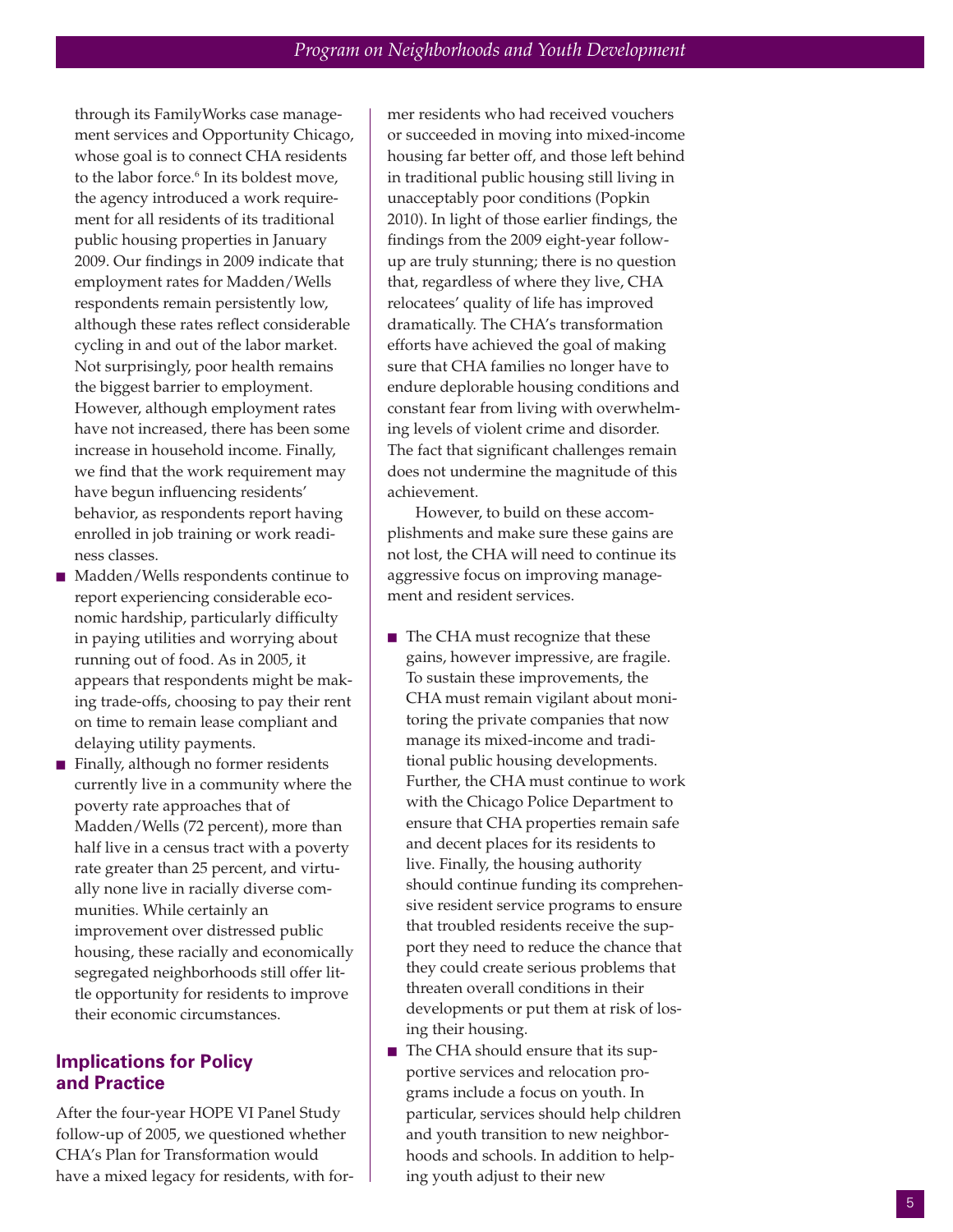through its FamilyWorks case management services and Opportunity Chicago, whose goal is to connect CHA residents to the labor force. <sup>6</sup> In its boldest move, the agency introduced a work requirement for all residents of its traditional public housing properties in January 2009. Our findings in 2009 indicate that employment rates for Madden/Wells respondents remain persistently low, although these rates reflect considerable cycling in and out of the labor market. Not surprisingly, poor health remains the biggest barrier to employment. However, although employment rates have not increased, there has been some increase in household income. Finally, we find that the work requirement may have begun influencing residents' behavior, as respondents report having [enrolled in job training or work readi](http://www.urban.org/url.cfm?ID=412186)ness classes.

- $\blacksquare$  Madden/Wells respondents continue to report experiencing considerable economic hardship, particularly difficulty in paying utilities and worrying about running out of food. As in 2005, it appears that respondents might be mak[ing trade-offs, choosing to pay their rent](http://www.urban.org/url.cfm?ID=412186) on time to remain lease compliant and delaying utility payments.
- Finally, although no former residents currently live in a community where the poverty rate approaches that of Madden/Wells (72 percent), more than half live in a census tract with a poverty rate greater than 25 percent, and virtually none live in racially diverse communities. While certainly an improvement over distressed public housing, these racially and economically segregated neighborhoods still offer lit[tle opportunity for residents to improve](http://www.urban.org/url.cfm?ID=412189) their economic circumstances.

### **Implications for Policy and Practice**

After the four-year HOPE VI Panel Study follow-up of 2005, we questioned whether CHA's Plan for Transformation would have a mixed legacy for residents, with former residents who had received vouchers or succeeded in moving into mixed-income housing far better off, and those left behind in traditional public housing still living in unacceptably poor conditions (Popkin 2010). In light of those earlier findings, the findings from the 2009 eight-year followup are truly stunning; there is no question that, regardless of where they live, CHA relocatees' quality of life has improved dramatically. The CHA's transformation efforts have achieved the goal of making sure that CHA families no longer have to endure deplorable housing conditions and constant fear from living with overwhelming levels of violent crime and disorder. The fact that significant challenges remain does not undermine the magnitude of this achievement.

However, to build on these accomplishments and make sure these gains are not lost, the CHA will need to continue its aggressive focus on improving management and resident services.

- The CHA must recognize that these gains, however impressive, are fragile. To sustain these improvements, the CHA must remain vigilant about monitoring the private companies that now manage its mixed-income and traditional public housing developments. Further, the CHA must continue to work with the Chicago Police Department to ensure that CHA properties remain safe and decent places for its residents to live. Finally, the housing authority should continue funding its comprehensive resident service programs to ensure that troubled residents receive the support they need to reduce the chance that they could create serious problems that threaten overall conditions in their developments or put them at risk of losing their housing.
- The CHA should ensure that its supportive services and relocation programs include a focus on youth. In particular, services should help children and youth transition to new neighborhoods and schools. In addition to helping youth adjust to their new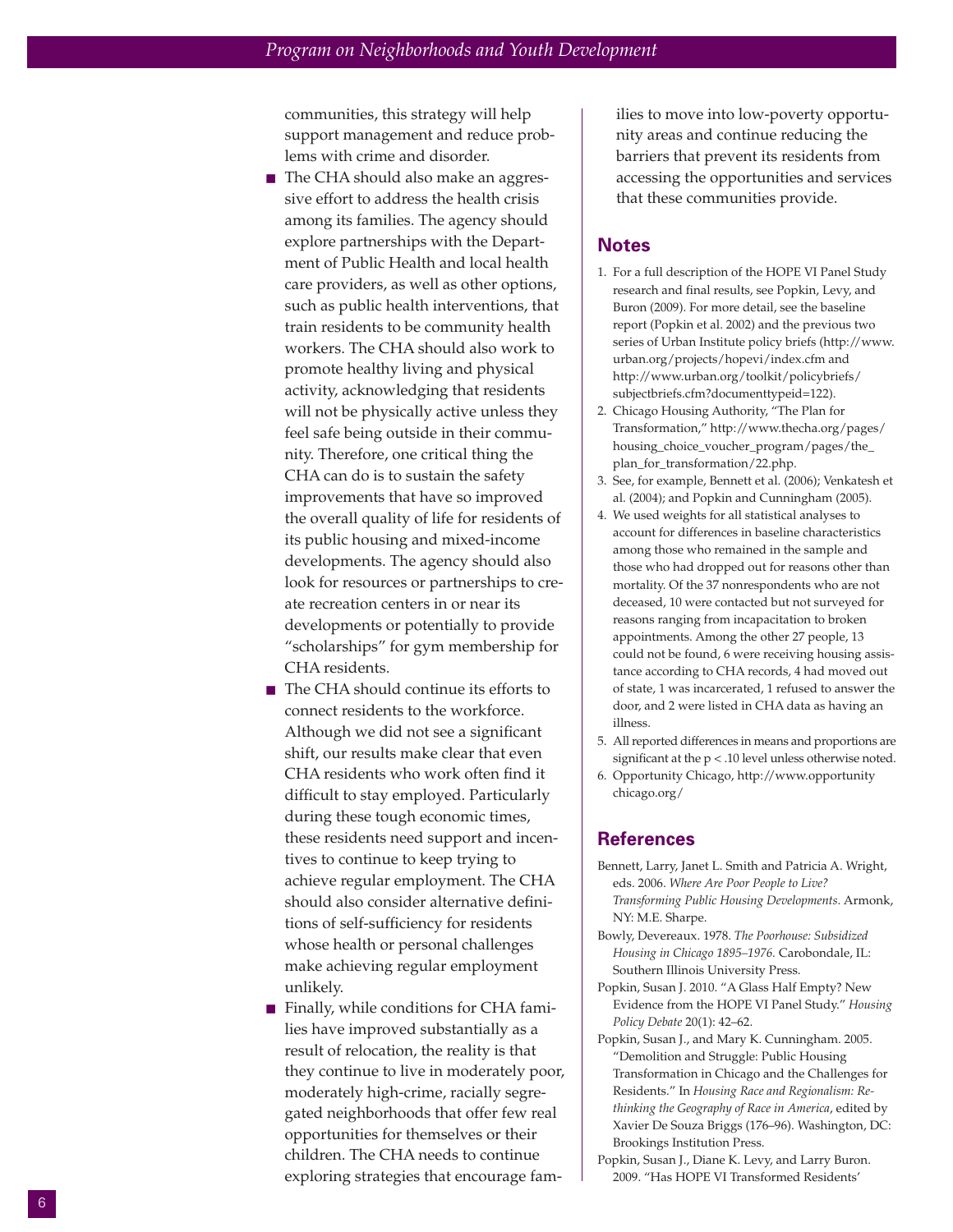communities, this strategy will help support management and reduce problems with crime and disorder.

- The CHA should also make an aggressive effort to address the health crisis among its families. The agency should explore partnerships with the Department of Public Health and local health care providers, as well as other options, such as public health interventions, that train residents to be community health workers. The CHA should also work to promote healthy living and physical activity, acknowledging that residents will not be physically active unless they feel safe being outside in their community. Therefore, one critical thing the CHA can do is to sustain the safety improvements that have so improved the overall quality of life for residents of its public housing and mixed-income developments. The agency should also look for resources or partnerships to create recreation centers in or near its developments or potentially to provide "scholarships" for gym membership for CHA residents.
- The CHA should continue its efforts to connect residents to the workforce. Although we did not see a significant shift, our results make clear that even CHA residents who work often find it difficult to stay employed. Particularly during these tough economic times, these residents need support and incentives to continue to keep trying to achieve regular employment. The CHA should also consider alternative definitions of self-sufficiency for residents whose health or personal challenges make achieving regular employment unlikely.
- $\blacksquare$  Finally, while conditions for CHA families have improved substantially as a result of relocation, the reality is that they continue to live in moderately poor, moderately high-crime, racially segregated neighborhoods that offer few real opportunities for themselves or their children. The CHA needs to continue exploring strategies that encourage fam-

ilies to move into low-poverty opportunity areas and continue reducing the barriers that prevent its residents from accessing the opportunities and services that these communities provide.

#### **Notes**

- 1. For a full description of the HOPE VI Panel Study research and final results, see Popkin, Levy, and Buron (2009). For more detail, see the baseline report (Popkin et al. 2002) and the previous two series of Urban Institute policy briefs (http://www. urban.org/projects/hopevi/index.cfm and http://www.urban.org/toolkit/policybriefs/ subjectbriefs.cfm?documenttypeid=122).
- 2. Chicago Housing Authority, "The Plan for Transformation," http://www.thecha.org/pages/ housing\_choice\_voucher\_program/pages/the\_ plan\_for\_transformation/22.php.
- 3. See, for example, Bennett et al. (2006); Venkatesh et al. (2004); and Popkin and Cunningham (2005).
- 4. We used weights for all statistical analyses to account for differences in baseline characteristics among those who remained in the sample and those who had dropped out for reasons other than mortality. Of the 37 nonrespondents who are not deceased, 10 were contacted but not surveyed for reasons ranging from incapacitation to broken appointments. Among the other 27 people, 13 could not be found, 6 were receiving housing assistance according to CHA records, 4 had moved out of state, 1 was incarcerated, 1 refused to answer the door, and 2 were listed in CHA data as having an illness.
- 5. All reported differences in means and proportions are significant at the p < .10 level unless otherwise noted.
- 6. Opportunity Chicago, http://www.opportunity chicago.org/

#### **References**

- Bennett, Larry, Janet L. Smith and Patricia A. Wright, eds. 2006. *Where Are Poor People to Live? Transforming Public Housing Developments.* Armonk, NY: M.E. Sharpe.
- Bowly, Devereaux. 1978. *The Poorhouse: Subsidized Housing in Chicago 1895–1976.* Carobondale, IL: Southern Illinois University Press.
- Popkin, Susan J. 2010. "A Glass Half Empty? New Evidence from the HOPE VI Panel Study." *Housing Policy Debate* 20(1): 42–62.
- Popkin, Susan J., and Mary K. Cunningham. 2005. "Demolition and Struggle: Public Housing Transformation in Chicago and the Challenges for Residents." In *Housing Race and Regionalism: Rethinking the Geography of Race in America*, edited by Xavier De Souza Briggs (176–96). Washington, DC: Brookings Institution Press.
- Popkin, Susan J., Diane K. Levy, and Larry Buron. 2009. "Has HOPE VI Transformed Residents'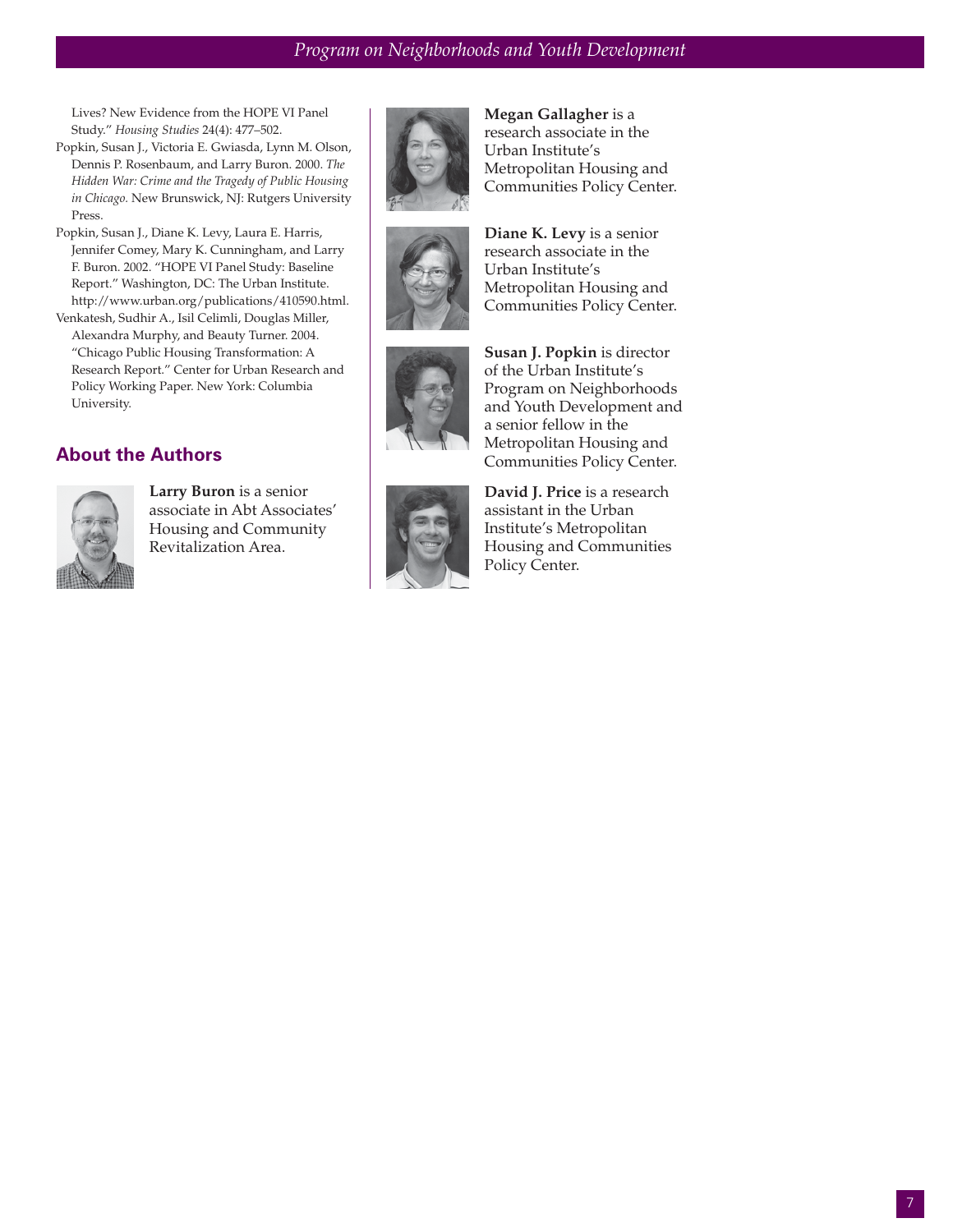Lives? New Evidence from the HOPE VI Panel Study." *Housing Studies* 24(4): 477–502.

- Popkin, Susan J., Victoria E. Gwiasda, Lynn M. Olson, Dennis P. Rosenbaum, and Larry Buron. 2000. *The Hidden War: Crime and the Tragedy of Public Housing in Chicago.* New Brunswick, NJ: Rutgers University Press.
- Popkin, Susan J., Diane K. Levy, Laura E. Harris, Jennifer Comey, Mary K. Cunningham, and Larry F. Buron. 2002. "HOPE VI Panel Study: Baseline Report." Washington, DC: The Urban Institute. http://www.urban.org/publications/410590.html.
- Venkatesh, Sudhir A., Isil Celimli, Douglas Miller, Alexandra Murphy, and Beauty Turner. 2004. "Chicago Public Housing Transformation: A Research Report." Center for Urban Research and Policy Working Paper. New York: Columbia University.

# **About the Authors**



**Larry Buron** is a senior associate in Abt Associates' Housing and Community Revitalization Area.



**Megan Gallagher** is a research associate in the Urban Institute's Metropolitan Housing and Communities Policy Center.



**Diane K. Levy** is a senior research associate in the Urban Institute's Metropolitan Housing and Communities Policy Center.



**Susan J. Popkin** is director of the Urban Institute's Program on Neighborhoods and Youth Development and a senior fellow in the Metropolitan Housing and Communities Policy Center.



**David J. Price** is a research assistant in the Urban Institute's Metropolitan Housing and Communities Policy Center.